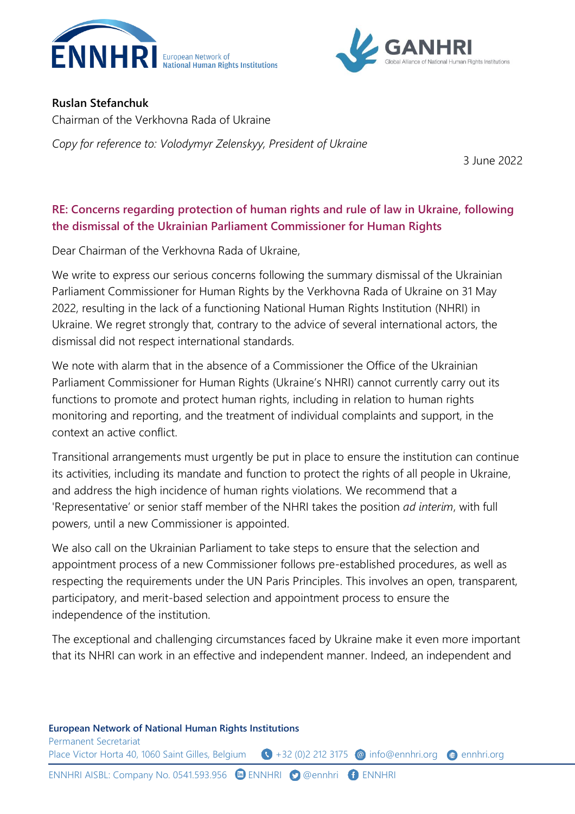



### **Ruslan Stefanchuk**

Chairman of the Verkhovna Rada of Ukraine

*Copy for reference to: Volodymyr Zelenskyy, President of Ukraine*

3 June 2022

# **RE: Concerns regarding protection of human rights and rule of law in Ukraine, following the dismissal of the Ukrainian Parliament Commissioner for Human Rights**

Dear Chairman of the Verkhovna Rada of Ukraine,

We write to express our serious concerns following the summary dismissal of the Ukrainian Parliament Commissioner for Human Rights by the Verkhovna Rada of Ukraine on 31 May 2022, resulting in the lack of a functioning National Human Rights Institution (NHRI) in Ukraine. We regret strongly that, contrary to the advice of several international actors, the dismissal did not respect international standards.

We note with alarm that in the absence of a Commissioner the Office of the Ukrainian Parliament Commissioner for Human Rights (Ukraine's NHRI) cannot currently carry out its functions to promote and protect human rights, including in relation to human rights monitoring and reporting, and the treatment of individual complaints and support, in the context an active conflict.

Transitional arrangements must urgently be put in place to ensure the institution can continue its activities, including its mandate and function to protect the rights of all people in Ukraine, and address the high incidence of human rights violations. We recommend that a 'Representative' or senior staff member of the NHRI takes the position *ad interim*, with full powers, until a new Commissioner is appointed.

We also call on the Ukrainian Parliament to take steps to ensure that the selection and appointment process of a new Commissioner follows pre-established procedures, as well as respecting the requirements under the UN Paris Principles. This involves an open, transparent, participatory, and merit-based selection and appointment process to ensure the independence of the institution.

The exceptional and challenging circumstances faced by Ukraine make it even more important that its NHRI can work in an effective and independent manner. Indeed, an independent and

### **European Network of National Human Rights Institutions**

Permanent Secretariat Place Victor Horta 40, 1060 Saint Gilles, Belgium (1) +32 (0)2 212 3175 @ [info@ennhri.org](mailto:info@ennhri.org) @ ennhri.org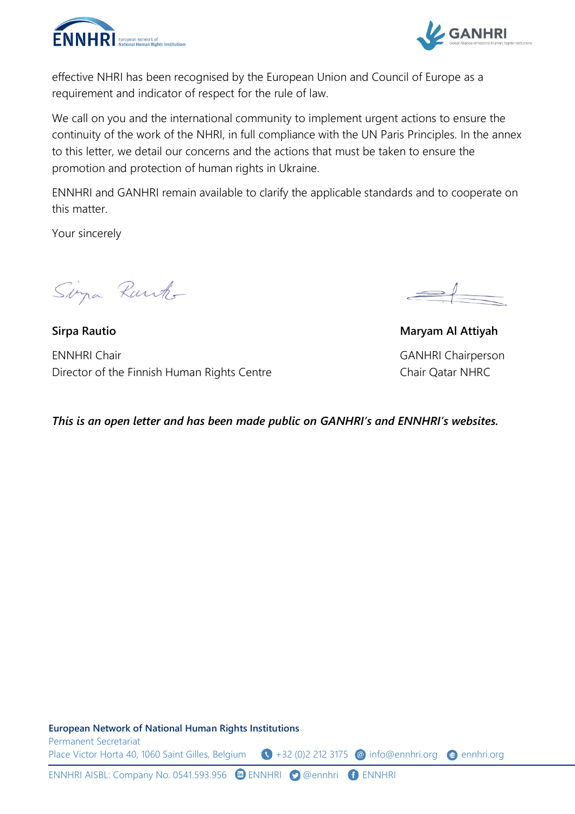



effective NHRI has been recognised by the European Union and Council of Europe as a requirement and indicator of respect for the rule of law.

We call on you and the international community to implement urgent actions to ensure the continuity of the work of the NHRI, in full compliance with the UN Paris Principles. In the annex to this letter, we detail our concerns and the actions that must be taken to ensure the promotion and protection of human rights in Ukraine.

ENNHRI and GANHRI remain available to clarify the applicable standards and to cooperate on this matter.

Your sincerely

Sima Rank

**Sirpa Rautio Maryam Al Attiyah**  ENNHRI Chair GANHRI Chairperson Director of the Finnish Human Rights Centre Chair Qatar NHRC

*This is an open letter and has been made public on GANHRI's and ENNHRI's websites.* 

**European Network of National Human Rights Institutions** Permanent Secretariat Place Victor Horta 40, 1060 Saint Gilles, Belgium  $\bigodot +32$  (0)2 212 3175 @ [info@ennhri.org](mailto:info@ennhri.org) @ ennhri.org

ENNHRI AISBL: Company No. 0541.593.956 **ENNHRI @** @ennhri **@** ENNHRI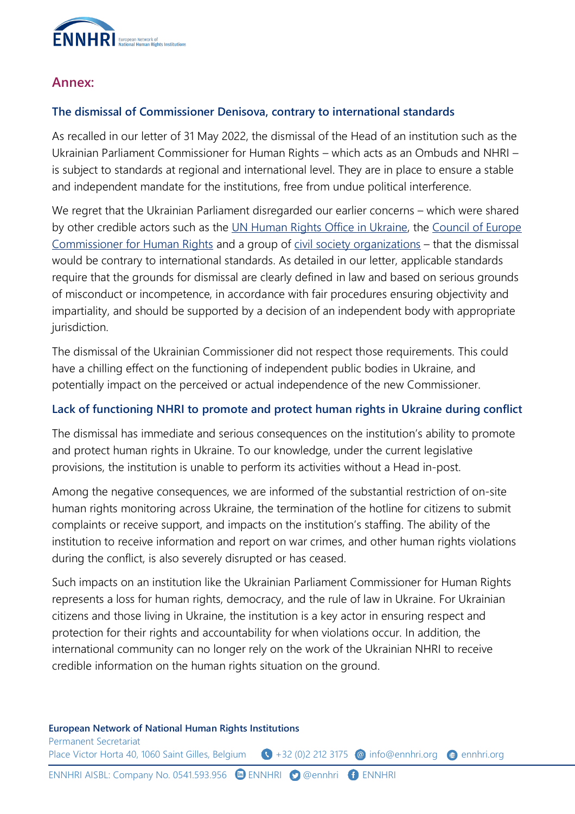

## **Annex:**

## **The dismissal of Commissioner Denisova, contrary to international standards**

As recalled in our letter of 31 May 2022, the dismissal of the Head of an institution such as the Ukrainian Parliament Commissioner for Human Rights – which acts as an Ombuds and NHRI – is subject to standards at regional and international level. They are in place to ensure a stable and independent mandate for the institutions, free from undue political interference.

We regret that the Ukrainian Parliament disregarded our earlier concerns – which were shared by other credible actors such as the [UN Human Rights Office in Ukraine,](https://twitter.com/UNHumanRightsUA/status/1531681369205743618) the [Council of Europe](https://twitter.com/CommissionerHR/status/1531649788076335109?cxt=HHwWioC9qcDXwcEqAAAA)  [Commissioner for Human Rights](https://twitter.com/CommissionerHR/status/1531649788076335109?cxt=HHwWioC9qcDXwcEqAAAA) and a group of [civil society organizations](https://zmina.ua/en/statements-en/human-rights-defenders-demand-compliance-with-procedures-and-independent-competition-for-the-position-of-the-commissioner-for-human-rights/) – that the dismissal would be contrary to international standards. As detailed in our letter, applicable standards require that the grounds for dismissal are clearly defined in law and based on serious grounds of misconduct or incompetence, in accordance with fair procedures ensuring objectivity and impartiality, and should be supported by a decision of an independent body with appropriate jurisdiction.

The dismissal of the Ukrainian Commissioner did not respect those requirements. This could have a chilling effect on the functioning of independent public bodies in Ukraine, and potentially impact on the perceived or actual independence of the new Commissioner.

### **Lack of functioning NHRI to promote and protect human rights in Ukraine during conflict**

The dismissal has immediate and serious consequences on the institution's ability to promote and protect human rights in Ukraine. To our knowledge, under the current legislative provisions, the institution is unable to perform its activities without a Head in-post.

Among the negative consequences, we are informed of the substantial restriction of on-site human rights monitoring across Ukraine, the termination of the hotline for citizens to submit complaints or receive support, and impacts on the institution's staffing. The ability of the institution to receive information and report on war crimes, and other human rights violations during the conflict, is also severely disrupted or has ceased.

Such impacts on an institution like the Ukrainian Parliament Commissioner for Human Rights represents a loss for human rights, democracy, and the rule of law in Ukraine. For Ukrainian citizens and those living in Ukraine, the institution is a key actor in ensuring respect and protection for their rights and accountability for when violations occur. In addition, the international community can no longer rely on the work of the Ukrainian NHRI to receive credible information on the human rights situation on the ground.

#### **European Network of National Human Rights Institutions**

Permanent Secretariat Place Victor Horta 40, 1060 Saint Gilles, Belgium (1) +32 (0)2 212 3175 @ [info@ennhri.org](mailto:info@ennhri.org) @ ennhri.org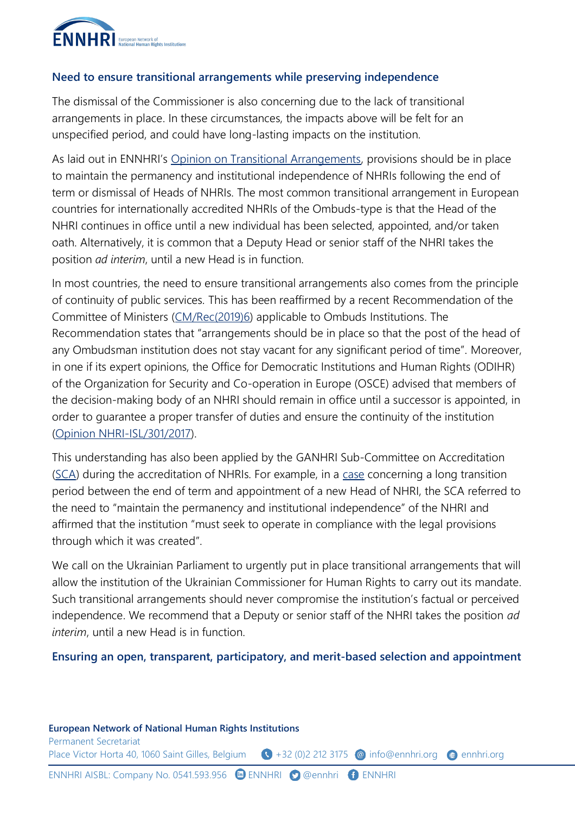

### **Need to ensure transitional arrangements while preserving independence**

The dismissal of the Commissioner is also concerning due to the lack of transitional arrangements in place. In these circumstances, the impacts above will be felt for an unspecified period, and could have long-lasting impacts on the institution.

As laid out in ENNHRI's [Opinion on Transitional Arrangements,](http://ennhri.org/wp-content/uploads/2020/10/ENNHRI-Opinion-on-Transitional-Arrangements-in-the-context-of-the-Selection-and-Appointment-of-the-Head-of-a-National-Human-Rights-Institution.pdf) provisions should be in place to maintain the permanency and institutional independence of NHRIs following the end of term or dismissal of Heads of NHRIs. The most common transitional arrangement in European countries for internationally accredited NHRIs of the Ombuds-type is that the Head of the NHRI continues in office until a new individual has been selected, appointed, and/or taken oath. Alternatively, it is common that a Deputy Head or senior staff of the NHRI takes the position *ad interim*, until a new Head is in function.

In most countries, the need to ensure transitional arrangements also comes from the principle of continuity of public services. This has been reaffirmed by a recent Recommendation of the Committee of Ministers [\(CM/Rec\(2019\)6\)](https://rm.coe.int/090000168098392f) applicable to Ombuds Institutions. The Recommendation states that "arrangements should be in place so that the post of the head of any Ombudsman institution does not stay vacant for any significant period of time". Moreover, in one if its expert opinions, the Office for Democratic Institutions and Human Rights (ODIHR) of the Organization for Security and Co-operation in Europe (OSCE) advised that members of the decision-making body of an NHRI should remain in office until a successor is appointed, in order to guarantee a proper transfer of duties and ensure the continuity of the institution (Opinion [NHRI-ISL/301/2017\)](https://www.osce.org/files/f/documents/a/a/313041.pdf).

This understanding has also been applied by the GANHRI Sub-Committee on Accreditation [\(SCA\)](https://www.ohchr.org/en/countries/nhri/ganhri-sub-committee-accreditation-sca) during the accreditation of NHRIs. For example, in a [case](https://www.ohchr.org/sites/default/files/Documents/Countries/NHRI/GANHRI/SCA_Report_October_2018-Eng_FINAL_.pdf) concerning a long transition period between the end of term and appointment of a new Head of NHRI, the SCA referred to the need to "maintain the permanency and institutional independence" of the NHRI and affirmed that the institution "must seek to operate in compliance with the legal provisions through which it was created".

We call on the Ukrainian Parliament to urgently put in place transitional arrangements that will allow the institution of the Ukrainian Commissioner for Human Rights to carry out its mandate. Such transitional arrangements should never compromise the institution's factual or perceived independence. We recommend that a Deputy or senior staff of the NHRI takes the position *ad interim*, until a new Head is in function.

**Ensuring an open, transparent, participatory, and merit-based selection and appointment**

**European Network of National Human Rights Institutions**

Permanent Secretariat Place Victor Horta 40, 1060 Saint Gilles, Belgium  $\bigodot +32$  (0)2 212 3175 @ [info@ennhri.org](mailto:info@ennhri.org) @ ennhri.org